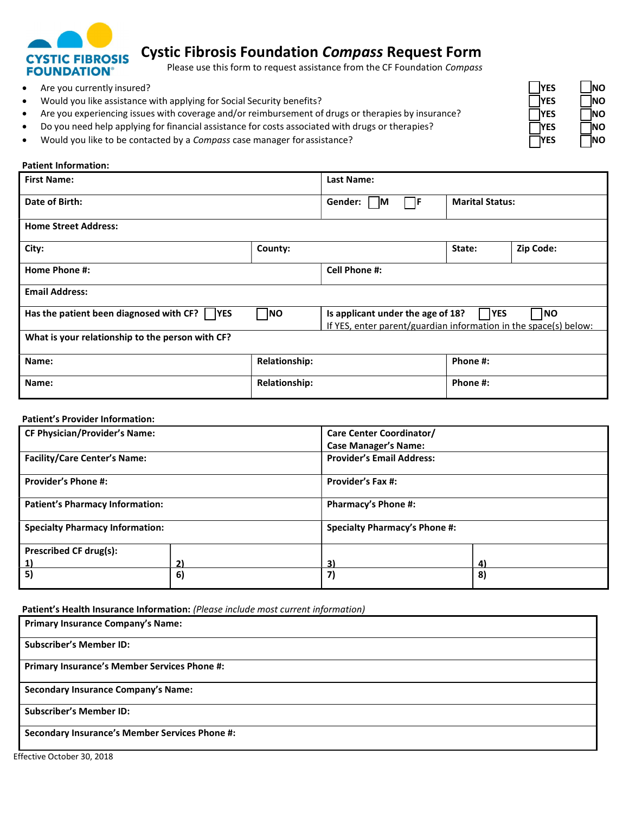

# **Cystic Fibrosis Foundation** *Compass* **Request Form**

Please use this form to request assistance from the CF Foundation *Compass* 

- **a** Are you currently insured? *NO NO*
- Would you like assistance with applying for Social Security benefits? **WES NO**
- **•** Are you experiencing issues with coverage and/or reimbursement of drugs or therapies by insurance? **INO** *NES* **NO**
- **•** Do you need help applying for financial assistance for costs associated with drugs or therapies? **INO** *NO*
- Would you like to be contacted by a *Compass* case manager for assistance? **THES NO**

#### **Patient Information:**

| <b>First Name:</b>                                   |                                                                                                                                         | Last Name:            |                        |           |  |
|------------------------------------------------------|-----------------------------------------------------------------------------------------------------------------------------------------|-----------------------|------------------------|-----------|--|
| Date of Birth:                                       |                                                                                                                                         | Gender:<br>l IF<br>ΙM | <b>Marital Status:</b> |           |  |
| <b>Home Street Address:</b>                          |                                                                                                                                         |                       |                        |           |  |
| City:                                                | County:                                                                                                                                 |                       | State:                 | Zip Code: |  |
| Home Phone #:                                        |                                                                                                                                         | <b>Cell Phone #:</b>  |                        |           |  |
| <b>Email Address:</b>                                |                                                                                                                                         |                       |                        |           |  |
| Has the patient been diagnosed with CF? $\vert$  YES | <b>NO</b><br>Is applicant under the age of 18?<br> YES<br><b>NO</b><br>If YES, enter parent/guardian information in the space(s) below: |                       |                        |           |  |
| What is your relationship to the person with CF?     |                                                                                                                                         |                       |                        |           |  |
| Name:                                                | <b>Relationship:</b>                                                                                                                    |                       | Phone #:               |           |  |
| Name:                                                | <b>Relationship:</b>                                                                                                                    |                       | Phone #:               |           |  |

#### **Patient's Provider Information:**

| <b>CF Physician/Provider's Name:</b>   |    | Care Center Coordinator/             |           |  |
|----------------------------------------|----|--------------------------------------|-----------|--|
|                                        |    | <b>Case Manager's Name:</b>          |           |  |
| <b>Facility/Care Center's Name:</b>    |    | <b>Provider's Email Address:</b>     |           |  |
| <b>Provider's Phone #:</b>             |    | <b>Provider's Fax #:</b>             |           |  |
| <b>Patient's Pharmacy Information:</b> |    | <b>Pharmacy's Phone #:</b>           |           |  |
| <b>Specialty Pharmacy Information:</b> |    | <b>Specialty Pharmacy's Phone #:</b> |           |  |
| <b>Prescribed CF drug(s):</b>          |    |                                      |           |  |
| <u>1)</u>                              | 2) | 31                                   | $\vert$ 4 |  |
| 5)                                     | 6) | 7)                                   | 8)        |  |

 **Patient's Health Insurance Information:** *(Please include most current information)*

| <b>Primary Insurance Company's Name:</b>              |
|-------------------------------------------------------|
| <b>Subscriber's Member ID:</b>                        |
| <b>Primary Insurance's Member Services Phone #:</b>   |
| <b>Secondary Insurance Company's Name:</b>            |
| <b>Subscriber's Member ID:</b>                        |
| <b>Secondary Insurance's Member Services Phone #:</b> |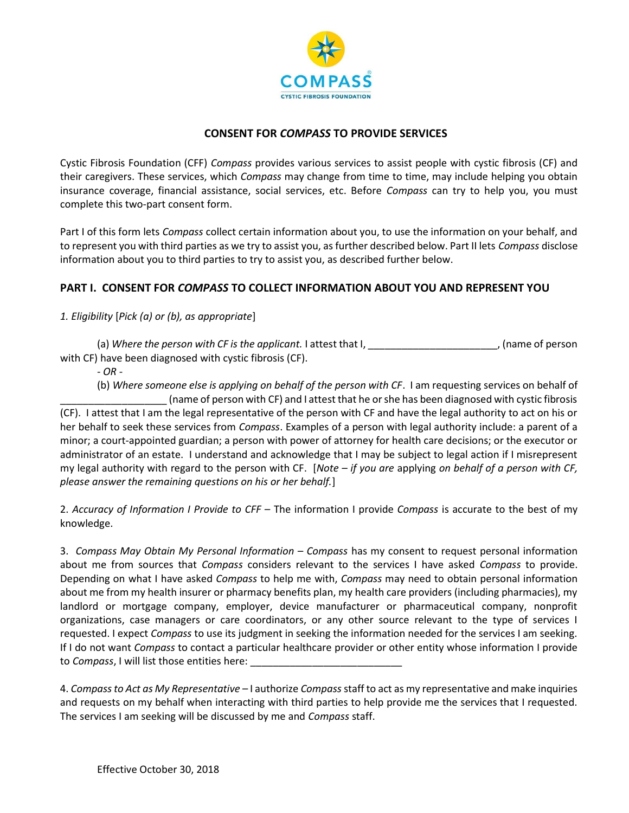

### **CONSENT FOR** *COMPASS* **TO PROVIDE SERVICES**

 Cystic Fibrosis Foundation (CFF) *Compass* provides various services to assist people with cystic fibrosis (CF) and their caregivers. These services, which *Compass* may change from time to time, may include helping you obtain insurance coverage, financial assistance, social services, etc. Before *Compass* can try to help you, you must complete this two-part consent form.

 Part I of this form lets *Compass* collect certain information about you, to use the information on your behalf, and to represent you with third parties as we try to assist you, asfurther described below. Part II lets *Compass* disclose information about you to third parties to try to assist you, as described further below.

## **PART I. CONSENT FOR** *COMPASS* **TO COLLECT INFORMATION ABOUT YOU AND REPRESENT YOU**

 *1. Eligibility* [*Pick (a) or (b), as appropriate*]

 (a) *Where the person with CF is the applicant.* I attest that I, \_\_\_\_\_\_\_\_\_\_\_\_\_\_\_\_\_\_\_\_\_\_\_, (name of person with CF) have been diagnosed with cystic fibrosis (CF).

*- OR -*

 (b) *Where someone else is applying on behalf of the person with CF*. I am requesting services on behalf of \_\_\_\_\_\_\_\_\_\_\_\_\_\_\_\_\_\_\_ (name of person with CF) and I attest that he orshe has been diagnosed with cystic fibrosis (CF). I attest that I am the legal representative of the person with CF and have the legal authority to act on his or her behalf to seek these services from *Compass*. Examples of a person with legal authority include: a parent of a minor; a court-appointed guardian; a person with power of attorney for health care decisions; or the executor or administrator of an estate. I understand and acknowledge that I may be subject to legal action if I misrepresent my legal authority with regard to the person with CF. [*Note – if you are* applying *on behalf of a person with CF, please answer the remaining questions on his or her behalf.*]

 2. *Accuracy of Information I Provide to CFF –* The information I provide *Compass* is accurate to the best of my knowledge.

 3. *Compass May Obtain My Personal Information – Compass* has my consent to request personal information about me from sources that *Compass* considers relevant to the services I have asked *Compass* to provide. Depending on what I have asked *Compass* to help me with, *Compass* may need to obtain personal information about me from my health insurer or pharmacy benefits plan, my health care providers (including pharmacies), my landlord or mortgage company, employer, device manufacturer or pharmaceutical company, nonprofit organizations, case managers or care coordinators, or any other source relevant to the type of services I requested. I expect *Compass* to use its judgment in seeking the information needed for the services I am seeking. If I do not want *Compass* to contact a particular healthcare provider or other entity whose information I provide to *Compass*, I will list those entities here: \_\_\_\_\_\_\_\_\_\_\_\_\_\_\_\_\_\_\_\_\_\_\_\_\_\_\_

 4. *Compassto Act as My Representative –* I authorize *Compass* staff to act as my representative and make inquiries and requests on my behalf when interacting with third parties to help provide me the services that I requested. The services I am seeking will be discussed by me and *Compass* staff.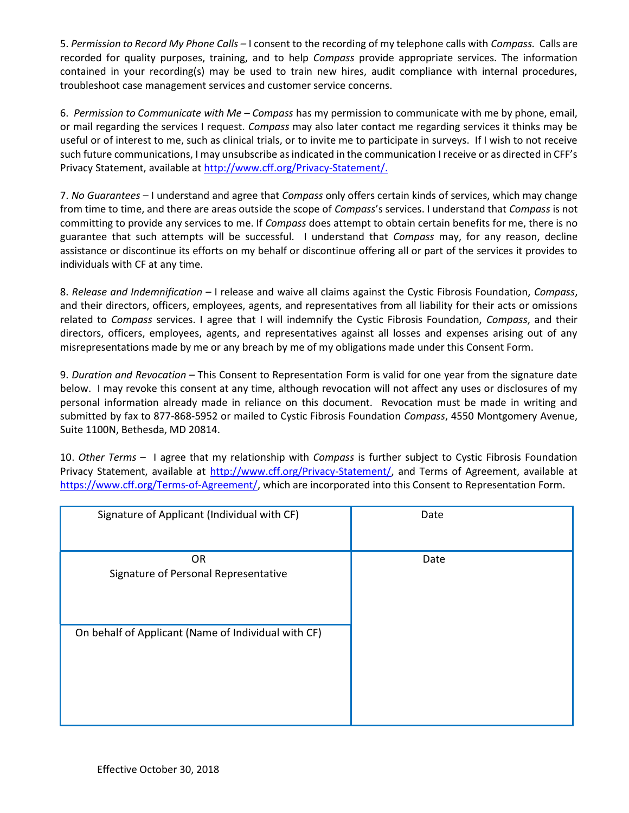5. *Permission to Record My Phone Calls –* I consent to the recording of my telephone calls with *Compass.* Calls are recorded for quality purposes, training, and to help *Compass* provide appropriate services. The information contained in your recording(s) may be used to train new hires, audit compliance with internal procedures, troubleshoot case management services and customer service concerns.

 6. *Permission to Communicate with Me – Compass* has my permission to communicate with me by phone, email, or mail regarding the services I request. *Compass* may also later contact me regarding services it thinks may be useful or of interest to me, such as clinical trials, or to invite me to participate in surveys. If I wish to not receive such future communications, I may unsubscribe as indicated in the communication I receive or as directed in CFF's Privacy Statement, available at [http://www.cff.org/Privacy-Statement/](http://www.cff.org/Privacy-Statement).

 7. *No Guarantees* – I understand and agree that *Compass* only offers certain kinds of services, which may change from time to time, and there are areas outside the scope of *Compass*'s services. I understand that *Compass* is not committing to provide any services to me. If *Compass* does attempt to obtain certain benefits for me, there is no guarantee that such attempts will be successful. I understand that *Compass* may, for any reason, decline assistance or discontinue its efforts on my behalf or discontinue offering all or part of the services it provides to individuals with CF at any time.

 8. *Release and Indemnification* – I release and waive all claims against the Cystic Fibrosis Foundation, *Compass*, and their directors, officers, employees, agents, and representatives from all liability for their acts or omissions related to *Compass* services. I agree that I will indemnify the Cystic Fibrosis Foundation, *Compass*, and their directors, officers, employees, agents, and representatives against all losses and expenses arising out of any misrepresentations made by me or any breach by me of my obligations made under this Consent Form.

 9. *Duration and Revocation –* This Consent to Representation Form is valid for one year from the signature date below. I may revoke this consent at any time, although revocation will not affect any uses or disclosures of my personal information already made in reliance on this document. Revocation must be made in writing and submitted by fax to 877-868-5952 or mailed to Cystic Fibrosis Foundation *Compass*, 4550 Montgomery Avenue, Suite 1100N, Bethesda, MD 20814.

 10. *Other Terms –* I agree that my relationship with *Compass* is further subject to Cystic Fibrosis Foundation Privacy Statement, available at *<http://www.cff.org/Privacy-Statement>/*, and Terms of Agreement, available at <https://www.cff.org/Terms-of-Agreement>/, which are incorporated into this Consent to Representation Form.

| Signature of Applicant (Individual with CF)         | Date |
|-----------------------------------------------------|------|
| <b>OR</b><br>Signature of Personal Representative   | Date |
| On behalf of Applicant (Name of Individual with CF) |      |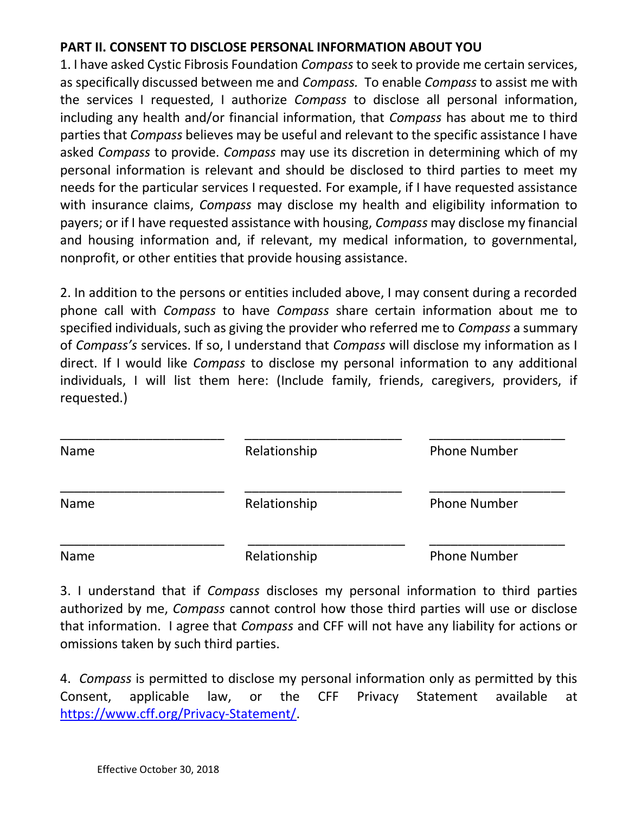## **PART II. CONSENT TO DISCLOSE PERSONAL INFORMATION ABOUT YOU**

 1. I have asked Cystic Fibrosis Foundation *Compass* to seek to provide me certain services, as specifically discussed between me and *Compass.* To enable *Compass* to assist me with the services I requested, I authorize *Compass* to disclose all personal information, including any health and/or financial information, that *Compass* has about me to third parties that *Compass* believes may be useful and relevant to the specific assistance I have asked *Compass* to provide. *Compass* may use its discretion in determining which of my personal information is relevant and should be disclosed to third parties to meet my needs for the particular services I requested. For example, if I have requested assistance with insurance claims, *Compass* may disclose my health and eligibility information to payers; or if I have requested assistance with housing, *Compass* may disclose my financial and housing information and, if relevant, my medical information, to governmental, nonprofit, or other entities that provide housing assistance.

 2. In addition to the persons or entities included above, I may consent during a recorded phone call with *Compass* to have *Compass* share certain information about me to specified individuals, such as giving the provider who referred me to *Compass* a summary of *Compass's* services. If so, I understand that *Compass* will disclose my information as I direct. If I would like *Compass* to disclose my personal information to any additional individuals, I will list them here: (Include family, friends, caregivers, providers, if requested.)

| Name | Relationship | <b>Phone Number</b> |
|------|--------------|---------------------|
| Name | Relationship | <b>Phone Number</b> |
| Name | Relationship | <b>Phone Number</b> |

 3. I understand that if *Compass* discloses my personal information to third parties authorized by me, *Compass* cannot control how those third parties will use or disclose that information. I agree that *Compass* and CFF will not have any liability for actions or omissions taken by such third parties.

 4. *Compass* is permitted to disclose my personal information only as permitted by this applicable Consent, applicable law, or the CFF Privacy Statement available at [https://www.cff.org/Privacy-Statement/](https://www.cff.org/Privacy-Statement).